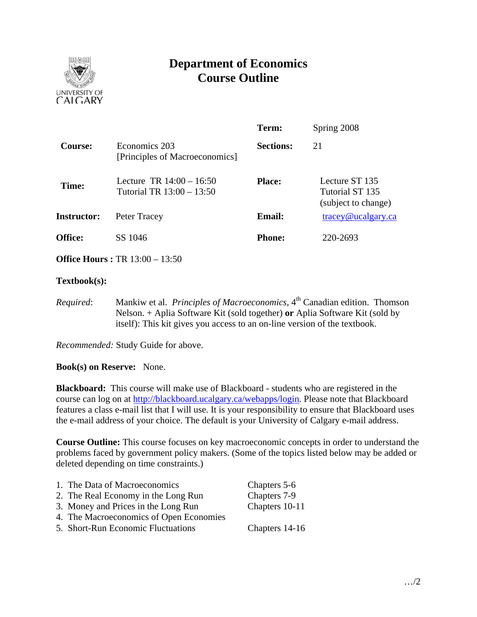

# **Department of Economics Course Outline**

|                    |                                                         | Term:            | Spring 2008                                              |
|--------------------|---------------------------------------------------------|------------------|----------------------------------------------------------|
| Course:            | Economics 203<br>[Principles of Macroeconomics]         | <b>Sections:</b> | 21                                                       |
| Time:              | Lecture TR $14:00 - 16:50$<br>Tutorial TR 13:00 - 13:50 | <b>Place:</b>    | Lecture ST 135<br>Tutorial ST 135<br>(subject to change) |
| <b>Instructor:</b> | Peter Tracey                                            | <b>Email:</b>    | $trace$ y@ucalgary.ca                                    |
| <b>Office:</b>     | SS 1046                                                 | <b>Phone:</b>    | 220-2693                                                 |
|                    |                                                         |                  |                                                          |

**Office Hours :** TR 13:00 – 13:50

## **Textbook(s):**

*Required*: Mankiw et al. *Principles of Macroeconomics*, 4<sup>th</sup> Canadian edition. Thomson Nelson. + Aplia Software Kit (sold together) **or** Aplia Software Kit (sold by itself): This kit gives you access to an on-line version of the textbook.

*Recommended:* Study Guide for above.

**Book(s) on Reserve:** None.

**Blackboard:** This course will make use of Blackboard - students who are registered in the course can log on at http://blackboard.ucalgary.ca/webapps/login. Please note that Blackboard features a class e-mail list that I will use. It is your responsibility to ensure that Blackboard uses the e-mail address of your choice. The default is your University of Calgary e-mail address.

**Course Outline:** This course focuses on key macroeconomic concepts in order to understand the problems faced by government policy makers. (Some of the topics listed below may be added or deleted depending on time constraints.)

| 1. The Data of Macroeconomics           | Chapters 5-6   |
|-----------------------------------------|----------------|
| 2. The Real Economy in the Long Run     | Chapters 7-9   |
| 3. Money and Prices in the Long Run     | Chapters 10-11 |
| 4. The Macroeconomics of Open Economies |                |
| 5. Short-Run Economic Fluctuations      | Chapters 14-16 |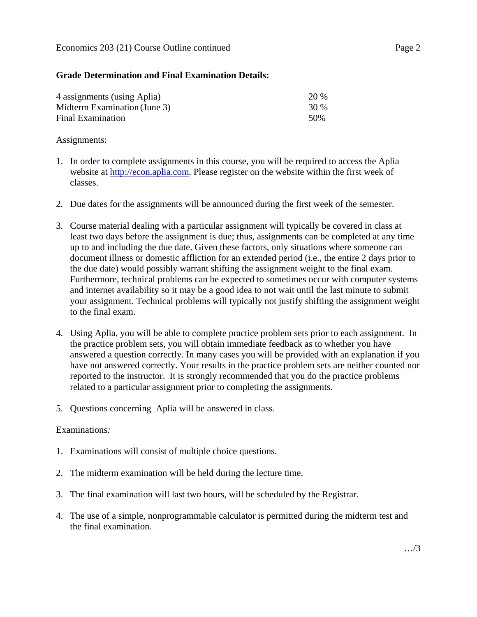## **Grade Determination and Final Examination Details:**

| 4 assignments (using Aplia)  | 20 % |
|------------------------------|------|
| Midterm Examination (June 3) | 30 % |
| Final Examination            | 50%  |

#### Assignments:

- 1. In order to complete assignments in this course, you will be required to access the Aplia website at http://econ.aplia.com. Please register on the website within the first week of classes.
- 2. Due dates for the assignments will be announced during the first week of the semester.
- 3. Course material dealing with a particular assignment will typically be covered in class at least two days before the assignment is due; thus, assignments can be completed at any time up to and including the due date. Given these factors, only situations where someone can document illness or domestic affliction for an extended period (i.e., the entire 2 days prior to the due date) would possibly warrant shifting the assignment weight to the final exam. Furthermore, technical problems can be expected to sometimes occur with computer systems and internet availability so it may be a good idea to not wait until the last minute to submit your assignment. Technical problems will typically not justify shifting the assignment weight to the final exam.
- 4. Using Aplia, you will be able to complete practice problem sets prior to each assignment. In the practice problem sets, you will obtain immediate feedback as to whether you have answered a question correctly. In many cases you will be provided with an explanation if you have not answered correctly. Your results in the practice problem sets are neither counted nor reported to the instructor. It is strongly recommended that you do the practice problems related to a particular assignment prior to completing the assignments.
- 5. Questions concerning Aplia will be answered in class.

## Examinations*:*

- 1. Examinations will consist of multiple choice questions.
- 2. The midterm examination will be held during the lecture time.
- 3. The final examination will last two hours, will be scheduled by the Registrar.
- 4. The use of a simple, nonprogrammable calculator is permitted during the midterm test and the final examination.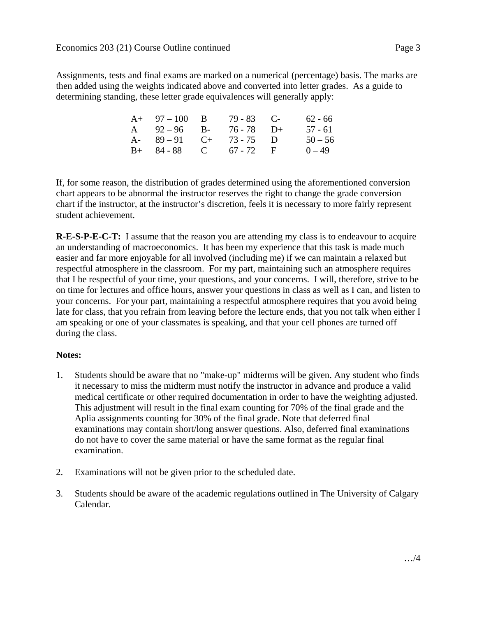Assignments, tests and final exams are marked on a numerical (percentage) basis. The marks are then added using the weights indicated above and converted into letter grades. As a guide to determining standing, these letter grade equivalences will generally apply:

| $A+ 97-100 B$          | $79 - 83$ C- | 62 - 66   |
|------------------------|--------------|-----------|
| A $92-96$ B-           | 76 - 78 D+   | $57 - 61$ |
| A- $89-91$ C+ 73-75 D  |              | $50 - 56$ |
| $B+ 84-88$ C 67 - 72 F |              | $0 - 49$  |

If, for some reason, the distribution of grades determined using the aforementioned conversion chart appears to be abnormal the instructor reserves the right to change the grade conversion chart if the instructor, at the instructor's discretion, feels it is necessary to more fairly represent student achievement.

**R-E-S-P-E-C-T:** I assume that the reason you are attending my class is to endeavour to acquire an understanding of macroeconomics. It has been my experience that this task is made much easier and far more enjoyable for all involved (including me) if we can maintain a relaxed but respectful atmosphere in the classroom. For my part, maintaining such an atmosphere requires that I be respectful of your time, your questions, and your concerns. I will, therefore, strive to be on time for lectures and office hours, answer your questions in class as well as I can, and listen to your concerns. For your part, maintaining a respectful atmosphere requires that you avoid being late for class, that you refrain from leaving before the lecture ends, that you not talk when either I am speaking or one of your classmates is speaking, and that your cell phones are turned off during the class.

## **Notes:**

- 1. Students should be aware that no "make-up" midterms will be given. Any student who finds it necessary to miss the midterm must notify the instructor in advance and produce a valid medical certificate or other required documentation in order to have the weighting adjusted. This adjustment will result in the final exam counting for 70% of the final grade and the Aplia assignments counting for 30% of the final grade. Note that deferred final examinations may contain short/long answer questions. Also, deferred final examinations do not have to cover the same material or have the same format as the regular final examination.
- 2. Examinations will not be given prior to the scheduled date.
- 3. Students should be aware of the academic regulations outlined in The University of Calgary Calendar.